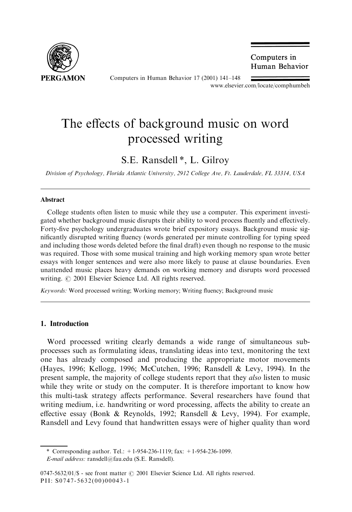

Computers in Human Behavior 17 (2001) 141-148

Computers in Human Behavior

www.elsevier.com/locate/comphumbeh

# The effects of background music on word processed writing

S.E. Ransdell \*, L. Gilroy

Division of Psychology, Florida Atlantic University, 2912 College Ave, Ft. Lauderdale, FL 33314, USA

#### Abstract

College students often listen to music while they use a computer. This experiment investigated whether background music disrupts their ability to word process fluently and effectively. Forty-five psychology undergraduates wrote brief expository essays. Background music significantly disrupted writing fluency (words generated per minute controlling for typing speed and including those words deleted before the final draft) even though no response to the music was required. Those with some musical training and high working memory span wrote better essays with longer sentences and were also more likely to pause at clause boundaries. Even unattended music places heavy demands on working memory and disrupts word processed writing.  $\odot$  2001 Elsevier Science Ltd. All rights reserved.

Keywords: Word processed writing; Working memory; Writing fluency; Background music

#### 1. Introduction

Word processed writing clearly demands a wide range of simultaneous subprocesses such as formulating ideas, translating ideas into text, monitoring the text one has already composed and producing the appropriate motor movements (Hayes, 1996; Kellogg, 1996; McCutchen, 1996; Ransdell & Levy, 1994). In the present sample, the majority of college students report that they *also* listen to music while they write or study on the computer. It is therefore important to know how this multi-task strategy affects performance. Several researchers have found that writing medium, i.e. handwriting or word processing, affects the ability to create an effective essay (Bonk & Reynolds, 1992; Ransdell & Levy, 1994). For example, Ransdell and Levy found that handwritten essays were of higher quality than word

<sup>\*</sup> Corresponding author. Tel.: +1-954-236-1119; fax: +1-954-236-1099.

E-mail address: ransdell@fau.edu (S.E. Ransdell).

<sup>0747-5632/01/\$ -</sup> see front matter  $\odot$  2001 Elsevier Science Ltd. All rights reserved. PII: S0747-5632(00)00043-1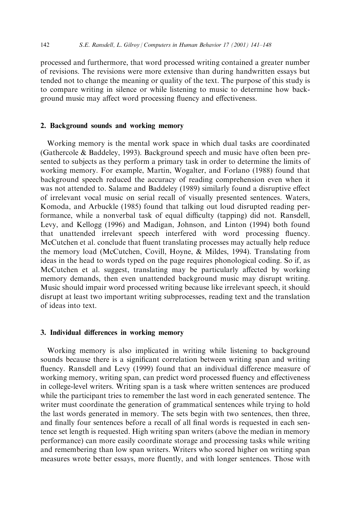processed and furthermore, that word processed writing contained a greater number of revisions. The revisions were more extensive than during handwritten essays but tended not to change the meaning or quality of the text. The purpose of this study is to compare writing in silence or while listening to music to determine how background music may affect word processing fluency and effectiveness.

## 2. Background sounds and working memory

Working memory is the mental work space in which dual tasks are coordinated (Gathercole & Baddeley, 1993). Background speech and music have often been presented to subjects as they perform a primary task in order to determine the limits of working memory. For example, Martin, Wogalter, and Forlano (1988) found that background speech reduced the accuracy of reading comprehension even when it was not attended to. Salame and Baddeley (1989) similarly found a disruptive effect of irrelevant vocal music on serial recall of visually presented sentences. Waters, Komoda, and Arbuckle (1985) found that talking out loud disrupted reading performance, while a nonverbal task of equal difficulty (tapping) did not. Ransdell, Levy, and Kellogg (1996) and Madigan, Johnson, and Linton (1994) both found that unattended irrelevant speech interfered with word processing fluency. McCutchen et al. conclude that fluent translating processes may actually help reduce the memory load (McCutchen, Covill, Hoyne, & Mildes, 1994). Translating from ideas in the head to words typed on the page requires phonological coding. So if, as McCutchen et al. suggest, translating may be particularly affected by working memory demands, then even unattended background music may disrupt writing. Music should impair word processed writing because like irrelevant speech, it should disrupt at least two important writing subprocesses, reading text and the translation of ideas into text.

#### 3. Individual differences in working memory

Working memory is also implicated in writing while listening to background sounds because there is a significant correlation between writing span and writing fluency. Ransdell and Levy (1999) found that an individual difference measure of working memory, writing span, can predict word processed fluency and effectiveness in college-level writers. Writing span is a task where written sentences are produced while the participant tries to remember the last word in each generated sentence. The writer must coordinate the generation of grammatical sentences while trying to hold the last words generated in memory. The sets begin with two sentences, then three, and finally four sentences before a recall of all final words is requested in each sentence set length is requested. High writing span writers (above the median in memory performance) can more easily coordinate storage and processing tasks while writing and remembering than low span writers. Writers who scored higher on writing span measures wrote better essays, more fluently, and with longer sentences. Those with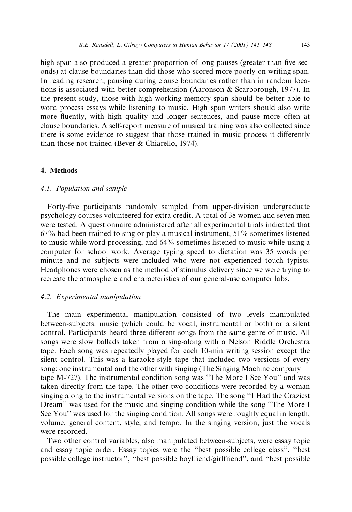high span also produced a greater proportion of long pauses (greater than five seconds) at clause boundaries than did those who scored more poorly on writing span. In reading research, pausing during clause boundaries rather than in random locations is associated with better comprehension (Aaronson & Scarborough, 1977). In the present study, those with high working memory span should be better able to word process essays while listening to music. High span writers should also write more fluently, with high quality and longer sentences, and pause more often at clause boundaries. A self-report measure of musical training was also collected since there is some evidence to suggest that those trained in music process it differently than those not trained (Bever & Chiarello, 1974).

#### 4. Methods

### 4.1. Population and sample

Forty-five participants randomly sampled from upper-division undergraduate psychology courses volunteered for extra credit. A total of 38 women and seven men were tested. A questionnaire administered after all experimental trials indicated that 67% had been trained to sing or play a musical instrument, 51% sometimes listened to music while word processing, and 64% sometimes listened to music while using a computer for school work. Average typing speed to dictation was 35 words per minute and no subjects were included who were not experienced touch typists. Headphones were chosen as the method of stimulus delivery since we were trying to recreate the atmosphere and characteristics of our general-use computer labs.

#### 4.2. Experimental manipulation

The main experimental manipulation consisted of two levels manipulated between-subjects: music (which could be vocal, instrumental or both) or a silent control. Participants heard three different songs from the same genre of music. All songs were slow ballads taken from a sing-along with a Nelson Riddle Orchestra tape. Each song was repeatedly played for each 10-min writing session except the silent control. This was a karaoke-style tape that included two versions of every song: one instrumental and the other with singing (The Singing Machine company tape M-727). The instrumental condition song was "The More I See You" and was taken directly from the tape. The other two conditions were recorded by a woman singing along to the instrumental versions on the tape. The song "I Had the Craziest Dream" was used for the music and singing condition while the song "The More I See You'' was used for the singing condition. All songs were roughly equal in length, volume, general content, style, and tempo. In the singing version, just the vocals were recorded.

Two other control variables, also manipulated between-subjects, were essay topic and essay topic order. Essay topics were the "best possible college class", "best possible college instructor", "best possible boyfriend/girlfriend", and "best possible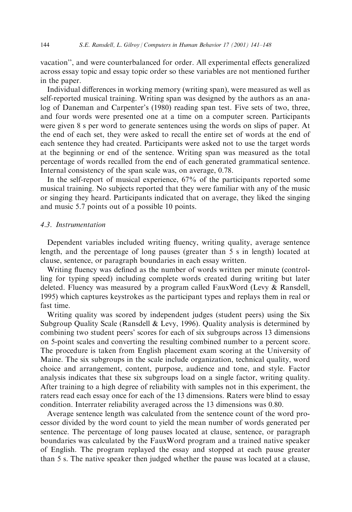vacation'', and were counterbalanced for order. All experimental effects generalized across essay topic and essay topic order so these variables are not mentioned further in the paper.

Individual differences in working memory (writing span), were measured as well as self-reported musical training. Writing span was designed by the authors as an analog of Daneman and Carpenter's (1980) reading span test. Five sets of two, three, and four words were presented one at a time on a computer screen. Participants were given 8 s per word to generate sentences using the words on slips of paper. At the end of each set, they were asked to recall the entire set of words at the end of each sentence they had created. Participants were asked not to use the target words at the beginning or end of the sentence. Writing span was measured as the total percentage of words recalled from the end of each generated grammatical sentence. Internal consistency of the span scale was, on average, 0.78.

In the self-report of musical experience, 67% of the participants reported some musical training. No subjects reported that they were familiar with any of the music or singing they heard. Participants indicated that on average, they liked the singing and music 5.7 points out of a possible 10 points.

## 4.3. Instrumentation

Dependent variables included writing fluency, writing quality, average sentence length, and the percentage of long pauses (greater than 5 s in length) located at clause, sentence, or paragraph boundaries in each essay written.

Writing fluency was defined as the number of words written per minute (controlling for typing speed) including complete words created during writing but later deleted. Fluency was measured by a program called FauxWord (Levy & Ransdell, 1995) which captures keystrokes as the participant types and replays them in real or fast time.

Writing quality was scored by independent judges (student peers) using the Six Subgroup Quality Scale (Ransdell & Levy, 1996). Quality analysis is determined by combining two student peers' scores for each of six subgroups across 13 dimensions on 5-point scales and converting the resulting combined number to a percent score. The procedure is taken from English placement exam scoring at the University of Maine. The six subgroups in the scale include organization, technical quality, word choice and arrangement, content, purpose, audience and tone, and style. Factor analysis indicates that these six subgroups load on a single factor, writing quality. After training to a high degree of reliability with samples not in this experiment, the raters read each essay once for each of the 13 dimensions. Raters were blind to essay condition. Interrater reliability averaged across the 13 dimensions was 0.80.

Average sentence length was calculated from the sentence count of the word processor divided by the word count to yield the mean number of words generated per sentence. The percentage of long pauses located at clause, sentence, or paragraph boundaries was calculated by the FauxWord program and a trained native speaker of English. The program replayed the essay and stopped at each pause greater than 5 s. The native speaker then judged whether the pause was located at a clause,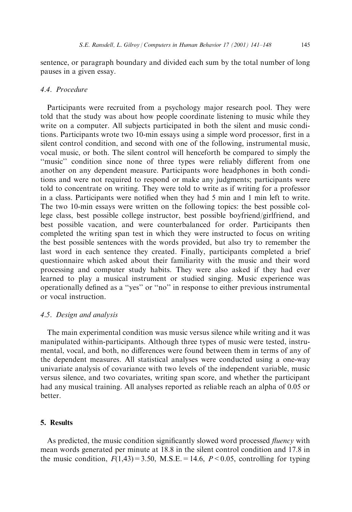sentence, or paragraph boundary and divided each sum by the total number of long pauses in a given essay.

## 4.4. Procedure

Participants were recruited from a psychology major research pool. They were told that the study was about how people coordinate listening to music while they write on a computer. All subjects participated in both the silent and music conditions. Participants wrote two 10-min essays using a simple word processor, first in a silent control condition, and second with one of the following, instrumental music, vocal music, or both. The silent control will henceforth be compared to simply the "music" condition since none of three types were reliably different from one another on any dependent measure. Participants wore headphones in both conditions and were not required to respond or make any judgments; participants were told to concentrate on writing. They were told to write as if writing for a professor in a class. Participants were notified when they had 5 min and 1 min left to write. The two 10-min essays were written on the following topics: the best possible college class, best possible college instructor, best possible boyfriend/girlfriend, and best possible vacation, and were counterbalanced for order. Participants then completed the writing span test in which they were instructed to focus on writing the best possible sentences with the words provided, but also try to remember the last word in each sentence they created. Finally, participants completed a brief questionnaire which asked about their familiarity with the music and their word processing and computer study habits. They were also asked if they had ever learned to play a musical instrument or studied singing. Music experience was operationally defined as a "yes" or "no" in response to either previous instrumental or vocal instruction.

## 4.5. Design and analysis

The main experimental condition was music versus silence while writing and it was manipulated within-participants. Although three types of music were tested, instrumental, vocal, and both, no differences were found between them in terms of any of the dependent measures. All statistical analyses were conducted using a one-way univariate analysis of covariance with two levels of the independent variable, music versus silence, and two covariates, writing span score, and whether the participant had any musical training. All analyses reported as reliable reach an alpha of 0.05 or better.

## 5. Results

As predicted, the music condition significantly slowed word processed *fluency* with mean words generated per minute at 18.8 in the silent control condition and 17.8 in the music condition,  $F(1,43)=3.50$ , M.S.E. = 14.6,  $P < 0.05$ , controlling for typing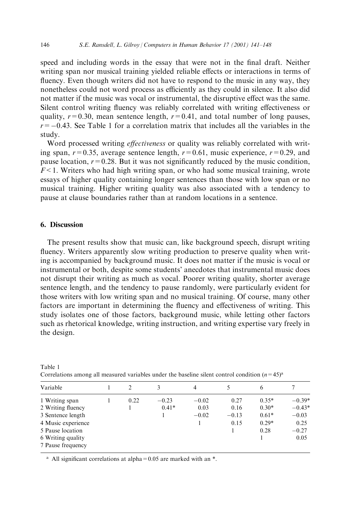speed and including words in the essay that were not in the final draft. Neither writing span nor musical training yielded reliable effects or interactions in terms of fluency. Even though writers did not have to respond to the music in any way, they nonetheless could not word process as efficiently as they could in silence. It also did not matter if the music was vocal or instrumental, the disruptive effect was the same. Silent control writing fluency was reliably correlated with writing effectiveness or quality,  $r=0.30$ , mean sentence length,  $r=0.41$ , and total number of long pauses,  $r=-0.43$ . See Table 1 for a correlation matrix that includes all the variables in the study.

Word processed writing *effectiveness* or quality was reliably correlated with writing span,  $r=0.35$ , average sentence length,  $r=0.61$ , music experience,  $r=0.29$ , and pause location,  $r=0.28$ . But it was not significantly reduced by the music condition,  $F<1$ . Writers who had high writing span, or who had some musical training, wrote essays of higher quality containing longer sentences than those with low span or no musical training. Higher writing quality was also associated with a tendency to pause at clause boundaries rather than at random locations in a sentence.

#### 6. Discussion

Table 1

The present results show that music can, like background speech, disrupt writing fluency. Writers apparently slow writing production to preserve quality when writing is accompanied by background music. It does not matter if the music is vocal or instrumental or both, despite some students' anecdotes that instrumental music does not disrupt their writing as much as vocal. Poorer writing quality, shorter average sentence length, and the tendency to pause randomly, were particularly evident for those writers with low writing span and no musical training. Of course, many other factors are important in determining the fluency and effectiveness of writing. This study isolates one of those factors, background music, while letting other factors such as rhetorical knowledge, writing instruction, and writing expertise vary freely in the design.

| Variable                               |  |      |         | $\overline{4}$ |         | 6       |          |
|----------------------------------------|--|------|---------|----------------|---------|---------|----------|
| 1 Writing span                         |  | 0.22 | $-0.23$ | $-0.02$        | 0.27    | $0.35*$ | $-0.39*$ |
| 2 Writing fluency                      |  |      | $0.41*$ | 0.03           | 0.16    | $0.30*$ | $-0.43*$ |
| 3 Sentence length                      |  |      |         | $-0.02$        | $-0.13$ | $0.61*$ | $-0.03$  |
| 4 Music experience                     |  |      |         |                | 0.15    | $0.29*$ | 0.25     |
| 5 Pause location                       |  |      |         |                |         | 0.28    | $-0.27$  |
| 6 Writing quality<br>7 Pause frequency |  |      |         |                |         |         | 0.05     |
|                                        |  |      |         |                |         |         |          |

Correlations among all measured variables under the baseline silent control condition  $(n=45)^{a}$ 

<sup>a</sup> All significant correlations at alpha =  $0.05$  are marked with an  $*$ .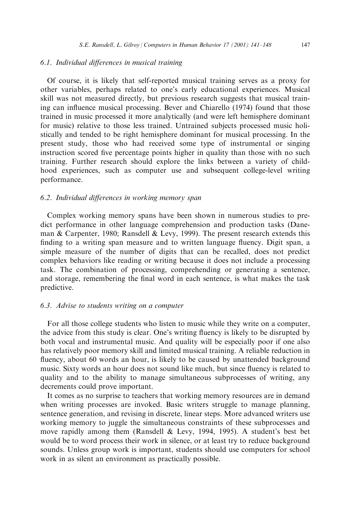## 6.1. Individual differences in musical training

Of course, it is likely that self-reported musical training serves as a proxy for other variables, perhaps related to one's early educational experiences. Musical skill was not measured directly, but previous research suggests that musical training can influence musical processing. Bever and Chiarello (1974) found that those trained in music processed it more analytically (and were left hemisphere dominant for music) relative to those less trained. Untrained subjects processed music holistically and tended to be right hemisphere dominant for musical processing. In the present study, those who had received some type of instrumental or singing instruction scored five percentage points higher in quality than those with no such training. Further research should explore the links between a variety of childhood experiences, such as computer use and subsequent college-level writing performance.

#### 6.2. Individual differences in working memory span

Complex working memory spans have been shown in numerous studies to predict performance in other language comprehension and production tasks (Daneman & Carpenter, 1980; Ransdell & Levy, 1999). The present research extends this finding to a writing span measure and to written language fluency. Digit span, a simple measure of the number of digits that can be recalled, does not predict complex behaviors like reading or writing because it does not include a processing task. The combination of processing, comprehending or generating a sentence, and storage, remembering the final word in each sentence, is what makes the task predictive.

#### 6.3. Advise to students writing on a computer

For all those college students who listen to music while they write on a computer, the advice from this study is clear. One's writing fluency is likely to be disrupted by both vocal and instrumental music. And quality will be especially poor if one also has relatively poor memory skill and limited musical training. A reliable reduction in fluency, about 60 words an hour, is likely to be caused by unattended background music. Sixty words an hour does not sound like much, but since fluency is related to quality and to the ability to manage simultaneous subprocesses of writing, any decrements could prove important.

It comes as no surprise to teachers that working memory resources are in demand when writing processes are invoked. Basic writers struggle to manage planning, sentence generation, and revising in discrete, linear steps. More advanced writers use working memory to juggle the simultaneous constraints of these subprocesses and move rapidly among them (Ransdell & Levy, 1994, 1995). A student's best bet would be to word process their work in silence, or at least try to reduce background sounds. Unless group work is important, students should use computers for school work in as silent an environment as practically possible.